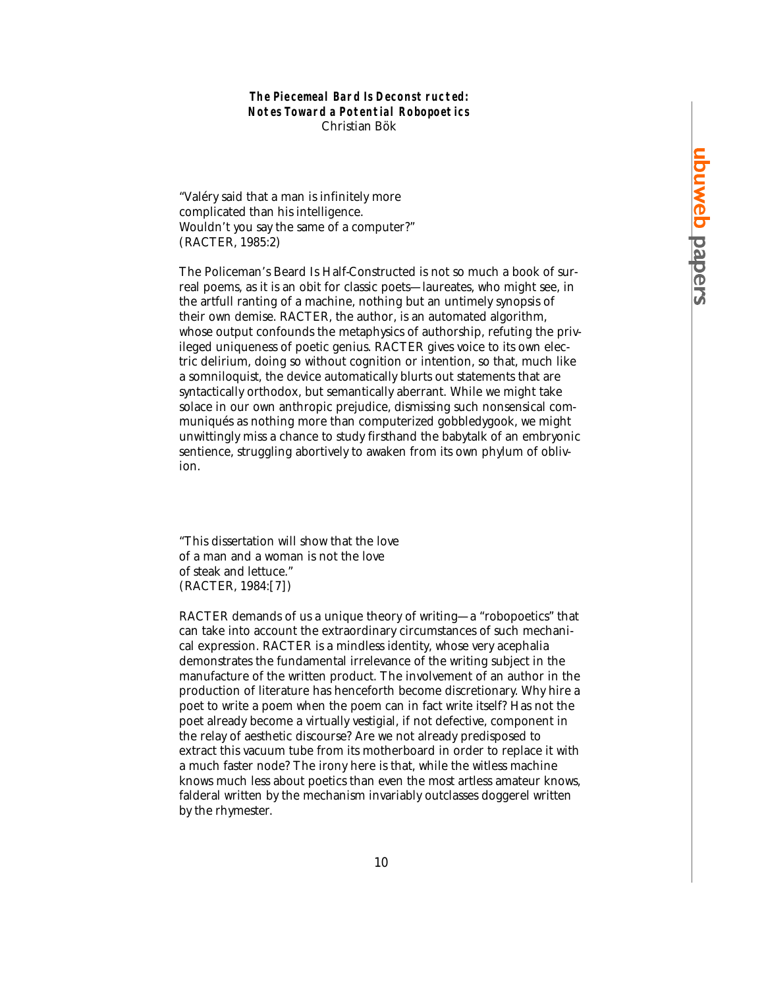## **The Piecemeal Bard Is Deconst ructed: Notes Toward a Potential Robopoetics** Christian Bök

"Valéry said that a man is infinitely more complicated than his intelligence. Wouldn't you say the same of a computer?" (RACTER, 1985:2)

The Policeman's Beard Is Half-Constructed is not so much a book of surreal poems, as it is an obit for classic poets—laureates, who might see, in the artfull ranting of a machine, nothing but an untimely synopsis of their own demise. RACTER, the author, is an automated algorithm, whose output confounds the metaphysics of authorship, refuting the privileged uniqueness of poetic genius. RACTER gives voice to its own electric delirium, doing so without cognition or intention, so that, much like a somniloquist, the device automatically blurts out statements that are syntactically orthodox, but semantically aberrant. While we might take solace in our own anthropic prejudice, dismissing such nonsensical communiqués as nothing more than computerized gobbledygook, we might unwittingly miss a chance to study firsthand the babytalk of an embryonic sentience, struggling abortively to awaken from its own phylum of oblivion.

"This dissertation will show that the love of a man and a woman is not the love of steak and lettuce." (RACTER, 1984:[7])

RACTER demands of us a unique theory of writing—a "robopoetics" that can take into account the extraordinary circumstances of such mechanical expression. RACTER is a mindless identity, whose very acephalia demonstrates the fundamental irrelevance of the writing subject in the manufacture of the written product. The involvement of an author in the production of literature has henceforth become discretionary. Why hire a poet to write a poem when the poem can in fact write itself? Has not the poet already become a virtually vestigial, if not defective, component in the relay of aesthetic discourse? Are we not already predisposed to extract this vacuum tube from its motherboard in order to replace it with a much faster node? The irony here is that, while the witless machine knows much less about poetics than even the most artless amateur knows, falderal written by the mechanism invariably outclasses doggerel written by the rhymester.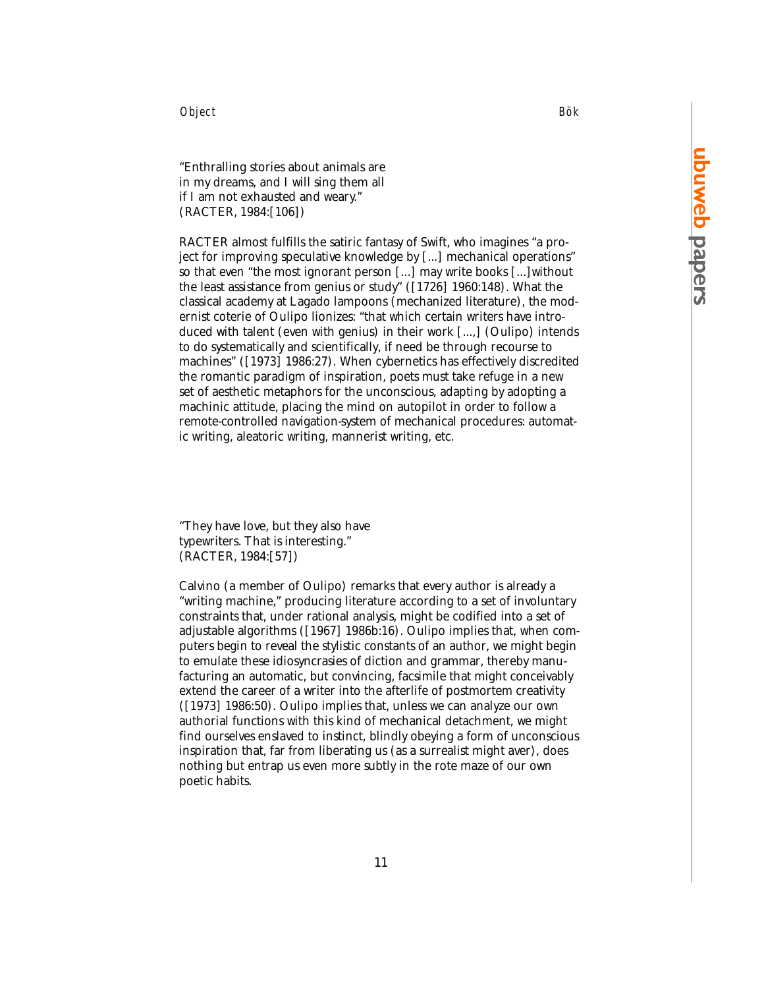Object Bök

"Enthralling stories about animals are in my dreams, and I will sing them all if I am not exhausted and weary." (RACTER, 1984:[106])

RACTER almost fulfills the satiric fantasy of Swift, who imagines "a project for improving speculative knowledge by [...] mechanical operations" so that even "the most ignorant person [...] may write books [...]without the least assistance from genius or study" ([1726] 1960:148). What the classical academy at Lagado lampoons (mechanized literature), the modernist coterie of Oulipo lionizes: "that which certain writers have introduced with talent (even with genius) in their work [...,] (Oulipo) intends to do systematically and scientifically, if need be through recourse to machines" ([1973] 1986:27). When cybernetics has effectively discredited the romantic paradigm of inspiration, poets must take refuge in a new set of aesthetic metaphors for the unconscious, adapting by adopting a machinic attitude, placing the mind on autopilot in order to follow a remote-controlled navigation-system of mechanical procedures: automatic writing, aleatoric writing, mannerist writing, etc.

"They have love, but they also have typewriters. That is interesting." (RACTER, 1984:[57])

Calvino (a member of Oulipo) remarks that every author is already a "writing machine," producing literature according to a set of involuntary constraints that, under rational analysis, might be codified into a set of adjustable algorithms ([1967] 1986b:16). Oulipo implies that, when computers begin to reveal the stylistic constants of an author, we might begin to emulate these idiosyncrasies of diction and grammar, thereby manufacturing an automatic, but convincing, facsimile that might conceivably extend the career of a writer into the afterlife of postmortem creativity ([1973] 1986:50). Oulipo implies that, unless we can analyze our own authorial functions with this kind of mechanical detachment, we might find ourselves enslaved to instinct, blindly obeying a form of unconscious inspiration that, far from liberating us (as a surrealist might aver), does nothing but entrap us even more subtly in the rote maze of our own poetic habits.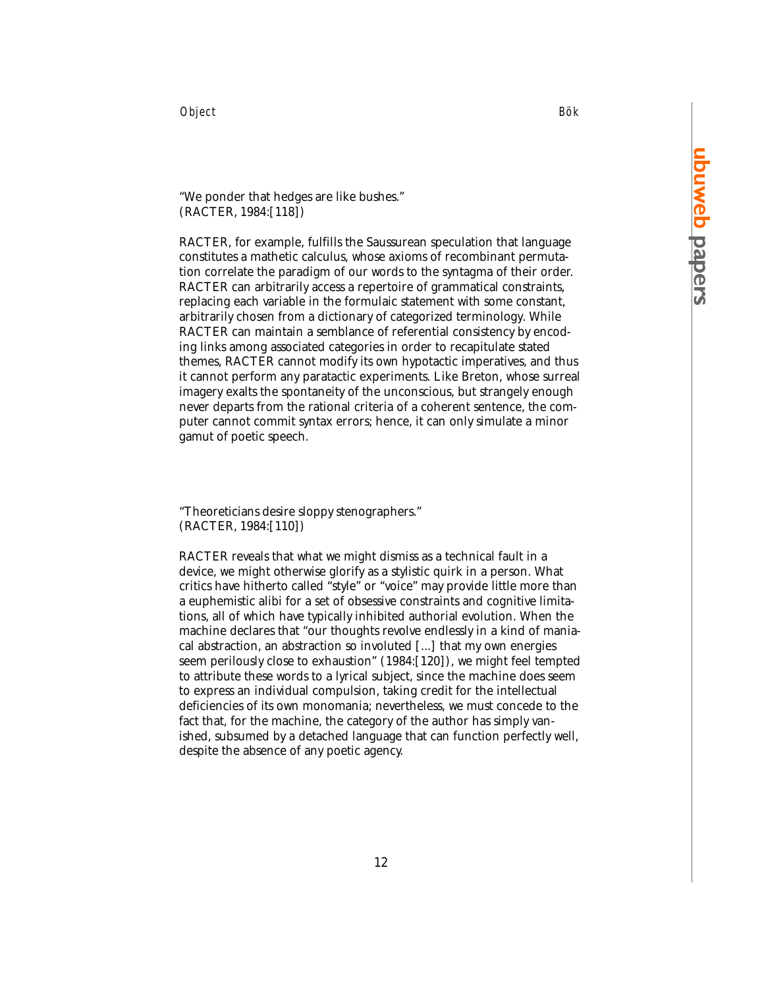Object Bök

"We ponder that hedges are like bushes." (RACTER, 1984:[118])

RACTER, for example, fulfills the Saussurean speculation that language constitutes a mathetic calculus, whose axioms of recombinant permutation correlate the paradigm of our words to the syntagma of their order. RACTER can arbitrarily access a repertoire of grammatical constraints, replacing each variable in the formulaic statement with some constant, arbitrarily chosen from a dictionary of categorized terminology. While RACTER can maintain a semblance of referential consistency by encoding links among associated categories in order to recapitulate stated themes, RACTER cannot modify its own hypotactic imperatives, and thus it cannot perform any paratactic experiments. Like Breton, whose surreal imagery exalts the spontaneity of the unconscious, but strangely enough never departs from the rational criteria of a coherent sentence, the computer cannot commit syntax errors; hence, it can only simulate a minor gamut of poetic speech.

"Theoreticians desire sloppy stenographers." (RACTER, 1984:[110])

RACTER reveals that what we might dismiss as a technical fault in a device, we might otherwise glorify as a stylistic quirk in a person. What critics have hitherto called "style" or "voice" may provide little more than a euphemistic alibi for a set of obsessive constraints and cognitive limitations, all of which have typically inhibited authorial evolution. When the machine declares that "our thoughts revolve endlessly in a kind of maniacal abstraction, an abstraction so involuted [...] that my own energies seem perilously close to exhaustion" (1984:[120]), we might feel tempted to attribute these words to a lyrical subject, since the machine does seem to express an individual compulsion, taking credit for the intellectual deficiencies of its own monomania; nevertheless, we must concede to the fact that, for the machine, the category of the author has simply vanished, subsumed by a detached language that can function perfectly well, despite the absence of any poetic agency.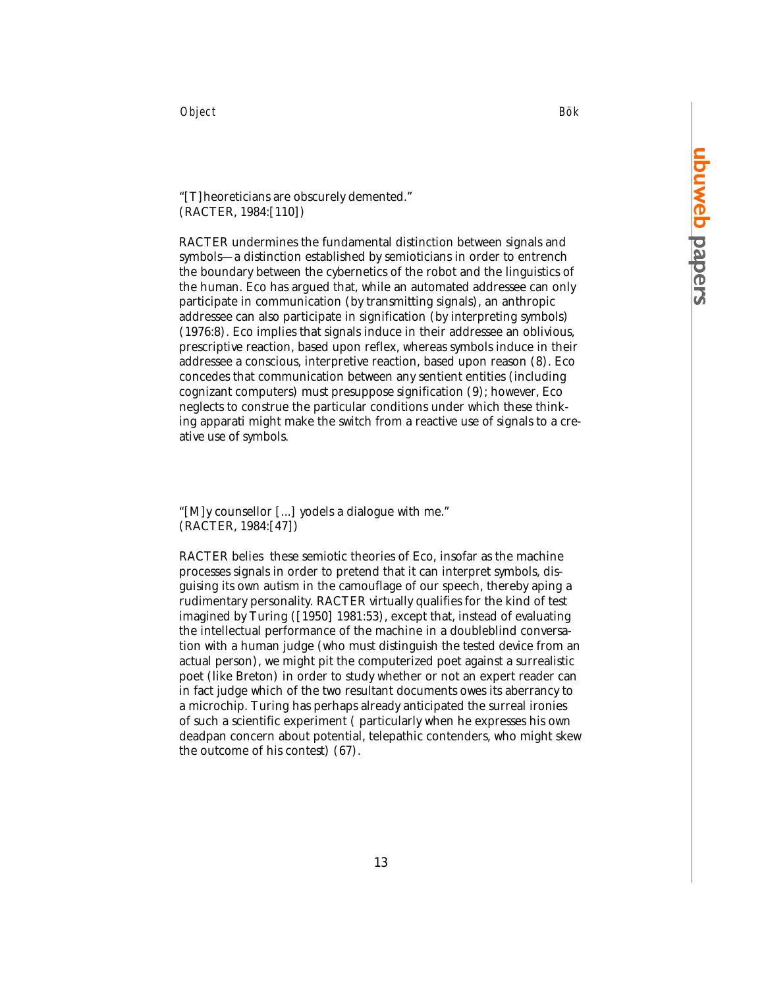Object Bök

# "[T]heoreticians are obscurely demented." (RACTER, 1984:[110])

RACTER undermines the fundamental distinction between signals and symbols—a distinction established by semioticians in order to entrench the boundary between the cybernetics of the robot and the linguistics of the human. Eco has argued that, while an automated addressee can only participate in communication (by transmitting signals), an anthropic addressee can also participate in signification (by interpreting symbols) (1976:8). Eco implies that signals induce in their addressee an oblivious, prescriptive reaction, based upon reflex, whereas symbols induce in their addressee a conscious, interpretive reaction, based upon reason (8). Eco concedes that communication between any sentient entities (including cognizant computers) must presuppose signification (9); however, Eco neglects to construe the particular conditions under which these thinking apparati might make the switch from a reactive use of signals to a creative use of symbols.

"[M]y counsellor [...] yodels a dialogue with me." (RACTER, 1984:[47])

RACTER belies these semiotic theories of Eco, insofar as the machine processes signals in order to pretend that it can interpret symbols, disguising its own autism in the camouflage of our speech, thereby aping a rudimentary personality. RACTER virtually qualifies for the kind of test imagined by Turing ([1950] 1981:53), except that, instead of evaluating the intellectual performance of the machine in a doubleblind conversation with a human judge (who must distinguish the tested device from an actual person), we might pit the computerized poet against a surrealistic poet (like Breton) in order to study whether or not an expert reader can in fact judge which of the two resultant documents owes its aberrancy to a microchip. Turing has perhaps already anticipated the surreal ironies of such a scientific experiment ( particularly when he expresses his own deadpan concern about potential, telepathic contenders, who might skew the outcome of his contest) (67).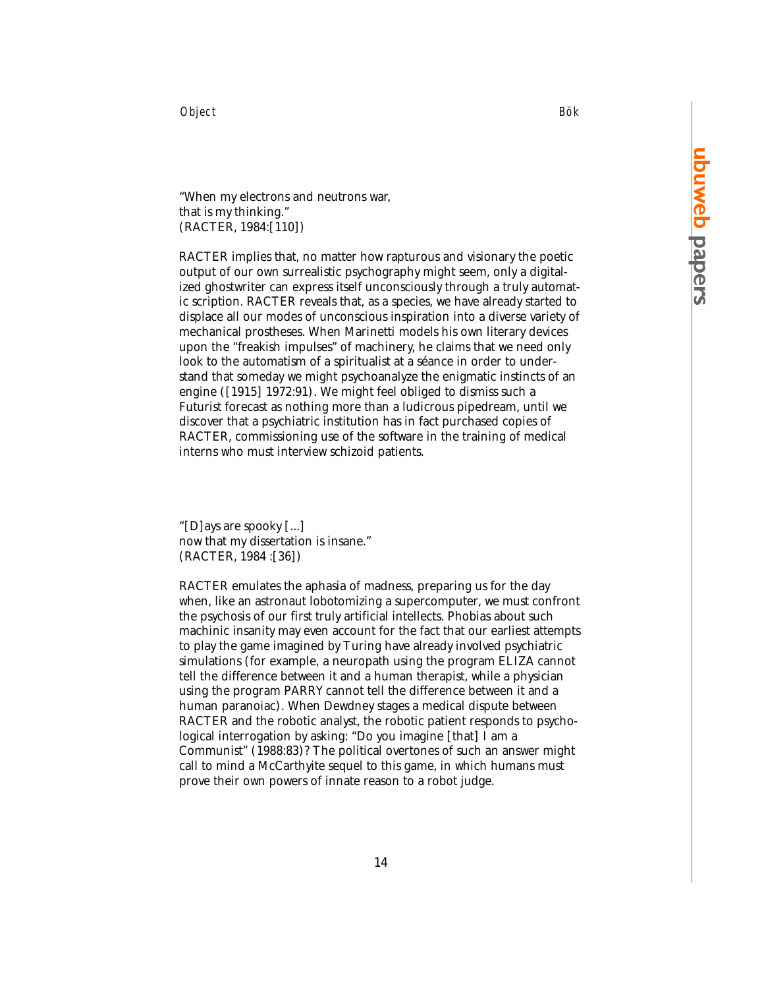Object Bök

"When my electrons and neutrons war, that is my thinking." (RACTER, 1984:[110])

RACTER implies that, no matter how rapturous and visionary the poetic output of our own surrealistic psychography might seem, only a digitalized ghostwriter can express itself unconsciously through a truly automatic scription. RACTER reveals that, as a species, we have already started to displace all our modes of unconscious inspiration into a diverse variety of mechanical prostheses. When Marinetti models his own literary devices upon the "freakish impulses" of machinery, he claims that we need only look to the automatism of a spiritualist at a séance in order to understand that someday we might psychoanalyze the enigmatic instincts of an engine ([1915] 1972:91). We might feel obliged to dismiss such a Futurist forecast as nothing more than a ludicrous pipedream, until we discover that a psychiatric institution has in fact purchased copies of RACTER, commissioning use of the software in the training of medical interns who must interview schizoid patients.

"[D]ays are spooky [...] now that my dissertation is insane." (RACTER, 1984 :[36])

RACTER emulates the aphasia of madness, preparing us for the day when, like an astronaut lobotomizing a supercomputer, we must confront the psychosis of our first truly artificial intellects. Phobias about such machinic insanity may even account for the fact that our earliest attempts to play the game imagined by Turing have already involved psychiatric simulations (for example, a neuropath using the program ELIZA cannot tell the difference between it and a human therapist, while a physician using the program PARRY cannot tell the difference between it and a human paranoiac). When Dewdney stages a medical dispute between RACTER and the robotic analyst, the robotic patient responds to psychological interrogation by asking: "Do you imagine [that] I am a Communist" (1988:83)? The political overtones of such an answer might call to mind a McCarthyite sequel to this game, in which humans must prove their own powers of innate reason to a robot judge.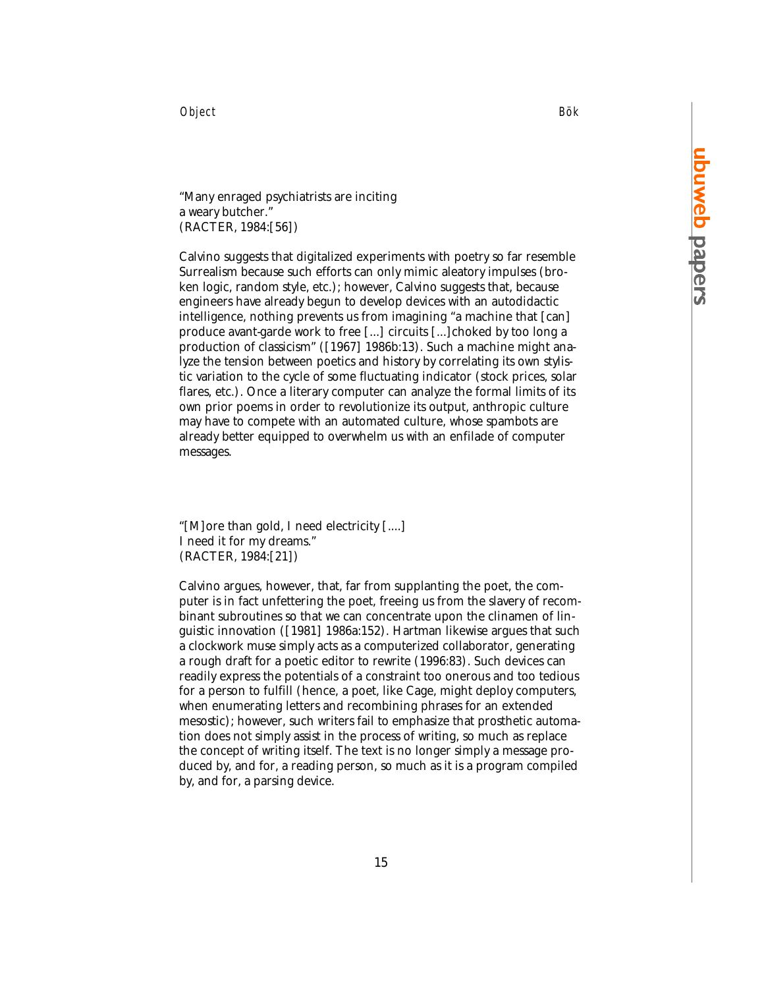Object Bök

"Many enraged psychiatrists are inciting a weary butcher." (RACTER, 1984:[56])

Calvino suggests that digitalized experiments with poetry so far resemble Surrealism because such efforts can only mimic aleatory impulses (broken logic, random style, etc.); however, Calvino suggests that, because engineers have already begun to develop devices with an autodidactic intelligence, nothing prevents us from imagining "a machine that [can] produce avant-garde work to free [...] circuits [...]choked by too long a production of classicism" ([1967] 1986b:13). Such a machine might analyze the tension between poetics and history by correlating its own stylistic variation to the cycle of some fluctuating indicator (stock prices, solar flares, etc.). Once a literary computer can analyze the formal limits of its own prior poems in order to revolutionize its output, anthropic culture may have to compete with an automated culture, whose spambots are already better equipped to overwhelm us with an enfilade of computer messages.

"[M]ore than gold, I need electricity [....] I need it for my dreams." (RACTER, 1984:[21])

Calvino argues, however, that, far from supplanting the poet, the computer is in fact unfettering the poet, freeing us from the slavery of recombinant subroutines so that we can concentrate upon the clinamen of linguistic innovation ([1981] 1986a:152). Hartman likewise argues that such a clockwork muse simply acts as a computerized collaborator, generating a rough draft for a poetic editor to rewrite (1996:83). Such devices can readily express the potentials of a constraint too onerous and too tedious for a person to fulfill (hence, a poet, like Cage, might deploy computers, when enumerating letters and recombining phrases for an extended mesostic); however, such writers fail to emphasize that prosthetic automation does not simply assist in the process of writing, so much as replace the concept of writing itself. The text is no longer simply a message produced by, and for, a reading person, so much as it is a program compiled by, and for, a parsing device.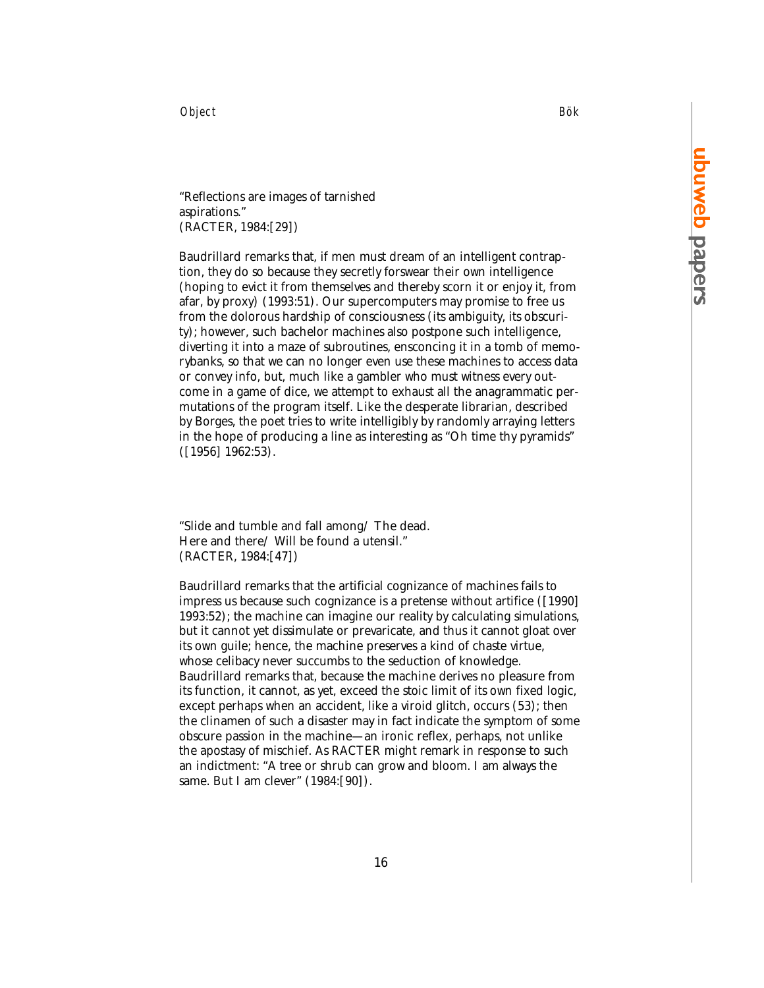Object Bök

"Reflections are images of tarnished aspirations." (RACTER, 1984:[29])

Baudrillard remarks that, if men must dream of an intelligent contraption, they do so because they secretly forswear their own intelligence (hoping to evict it from themselves and thereby scorn it or enjoy it, from afar, by proxy) (1993:51). Our supercomputers may promise to free us from the dolorous hardship of consciousness (its ambiguity, its obscurity); however, such bachelor machines also postpone such intelligence, diverting it into a maze of subroutines, ensconcing it in a tomb of memorybanks, so that we can no longer even use these machines to access data or convey info, but, much like a gambler who must witness every outcome in a game of dice, we attempt to exhaust all the anagrammatic permutations of the program itself. Like the desperate librarian, described by Borges, the poet tries to write intelligibly by randomly arraying letters in the hope of producing a line as interesting as "Oh time thy pyramids" ([1956] 1962:53).

"Slide and tumble and fall among/ The dead. Here and there/ Will be found a utensil." (RACTER, 1984:[47])

Baudrillard remarks that the artificial cognizance of machines fails to impress us because such cognizance is a pretense without artifice ([1990] 1993:52); the machine can imagine our reality by calculating simulations, but it cannot yet dissimulate or prevaricate, and thus it cannot gloat over its own guile; hence, the machine preserves a kind of chaste virtue, whose celibacy never succumbs to the seduction of knowledge. Baudrillard remarks that, because the machine derives no pleasure from its function, it cannot, as yet, exceed the stoic limit of its own fixed logic, except perhaps when an accident, like a viroid glitch, occurs (53); then the clinamen of such a disaster may in fact indicate the symptom of some obscure passion in the machine—an ironic reflex, perhaps, not unlike the apostasy of mischief. As RACTER might remark in response to such an indictment: "A tree or shrub can grow and bloom. I am always the same. But I am clever" (1984:[90]).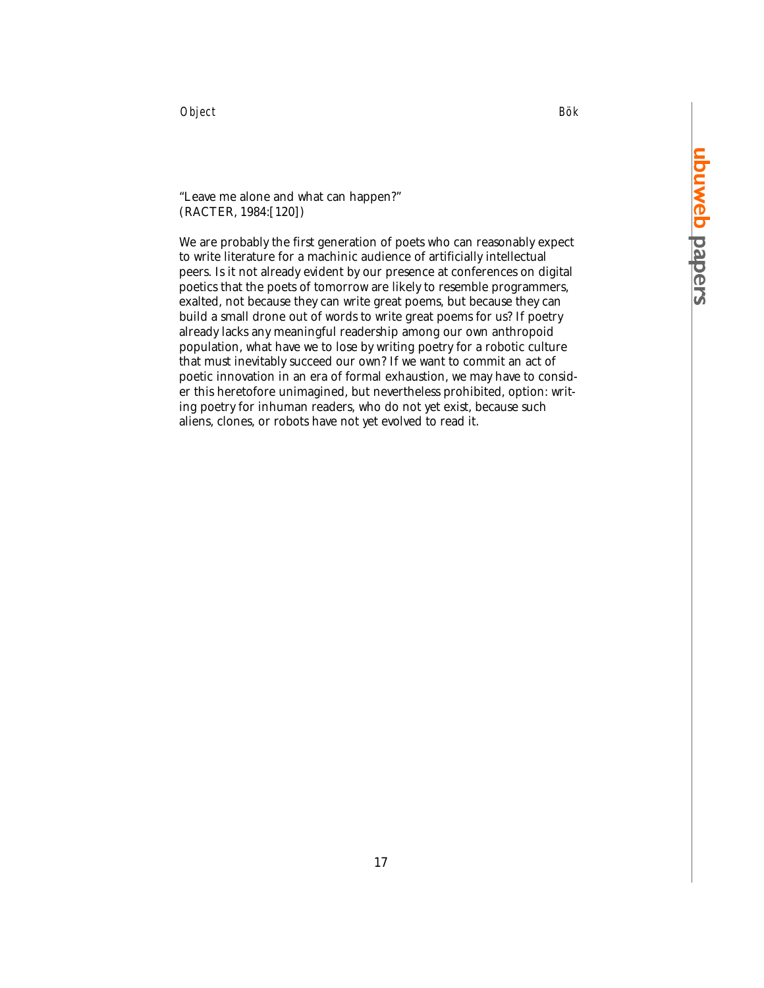Object Bök

## "Leave me alone and what can happen?" (RACTER, 1984:[120])

We are probably the first generation of poets who can reasonably expect to write literature for a machinic audience of artificially intellectual peers. Is it not already evident by our presence at conferences on digital poetics that the poets of tomorrow are likely to resemble programmers, exalted, not because they can write great poems, but because they can build a small drone out of words to write great poems for us? If poetry already lacks any meaningful readership among our own anthropoid population, what have we to lose by writing poetry for a robotic culture that must inevitably succeed our own? If we want to commit an act of poetic innovation in an era of formal exhaustion, we may have to consider this heretofore unimagined, but nevertheless prohibited, option: writing poetry for inhuman readers, who do not yet exist, because such aliens, clones, or robots have not yet evolved to read it.